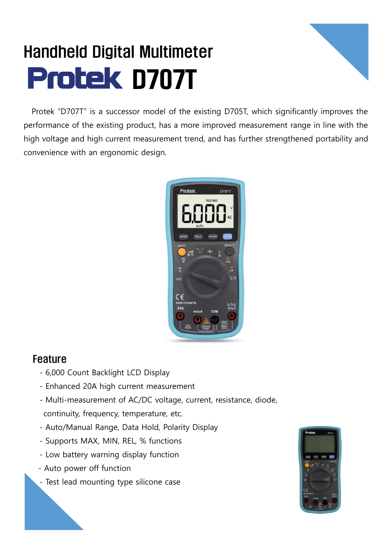## Handheld Digital Multimeter **Protek D707T**



Protek "D707T" is a successor model of the existing D705T, which significantly improves the performance of the existing product, has a more improved measurement range in line with the high voltage and high current measurement trend, and has further strengthened portability and convenience with an ergonomic design.



## Feature

- 6,000 Count Backlight LCD Display
- Enhanced 20A high current measurement
- Multi-measurement of AC/DC voltage, current, resistance, diode, continuity, frequency, temperature, etc.
- Auto/Manual Range, Data Hold, Polarity Display
- Supports MAX, MIN, REL, % functions
- Low battery warning display function
- Auto power off function
- Test lead mounting type silicone case

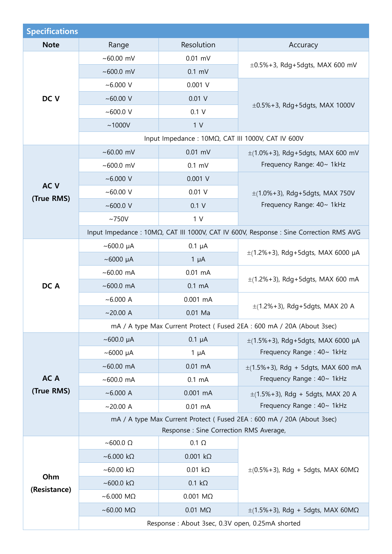| <b>Specifications</b>         |                                                                                        |                    |                                                                      |  |  |
|-------------------------------|----------------------------------------------------------------------------------------|--------------------|----------------------------------------------------------------------|--|--|
| <b>Note</b>                   | Range                                                                                  | Resolution         | Accuracy                                                             |  |  |
| DC V                          | $~100.00~$ mV                                                                          | $0.01$ mV          | $\pm 0.5\% + 3$ , Rdg+5dgts, MAX 600 mV                              |  |  |
|                               | ~100.0~mV                                                                              | $0.1$ mV           |                                                                      |  |  |
|                               | $~1000$ V                                                                              | $0.001$ V          | $\pm 0.5\% + 3$ , Rdg+5dgts, MAX 1000V                               |  |  |
|                               | $~100.00$ V                                                                            | $0.01$ V           |                                                                      |  |  |
|                               | ~100.0~V                                                                               | 0.1 V              |                                                                      |  |  |
|                               | ~1000V                                                                                 | 1 <sub>V</sub>     |                                                                      |  |  |
|                               | Input Impedance : 10ΜΩ, CAT III 1000V, CAT IV 600V                                     |                    |                                                                      |  |  |
| AC <sub>V</sub><br>(True RMS) | $~100.00~$ mV                                                                          | $0.01$ mV          | $\pm$ (1.0%+3), Rdg+5dgts, MAX 600 mV                                |  |  |
|                               | ~100.0~mV                                                                              | $0.1$ mV           | Frequency Range: 40~ 1kHz                                            |  |  |
|                               | $~6.000$ V                                                                             | 0.001 V            | $\pm$ (1.0%+3), Rdg+5dgts, MAX 750V<br>Frequency Range: 40~ 1kHz     |  |  |
|                               | ~100.00~V                                                                              | $0.01$ V           |                                                                      |  |  |
|                               | ~1000.0~V                                                                              | 0.1 V              |                                                                      |  |  |
|                               | ~1750V                                                                                 | 1 <sub>V</sub>     |                                                                      |  |  |
|                               | Input Impedance : 10ΜΩ, CAT III 1000V, CAT IV 600V, Response : Sine Correction RMS AVG |                    |                                                                      |  |  |
|                               | $~100.0~\mu A$                                                                         | $0.1 \mu A$        | $\pm$ (1.2%+3), Rdg+5dgts, MAX 6000 µA                               |  |  |
|                               | $~\sim$ 6000 µA                                                                        | $1 \mu A$          |                                                                      |  |  |
|                               | $~100.00$ mA                                                                           | $0.01$ mA          | $\pm$ (1.2%+3), Rdg+5dgts, MAX 600 mA                                |  |  |
| DC A                          | $~100.0$ mA                                                                            | $0.1 \text{ mA}$   |                                                                      |  |  |
|                               | ~6.000 A                                                                               | $0.001$ mA         | $\pm$ (1.2%+3), Rdg+5dgts, MAX 20 A                                  |  |  |
|                               | $~20.00$ A                                                                             | $0.01$ Ma          |                                                                      |  |  |
|                               | mA / A type Max Current Protect (Fused 2EA: 600 mA / 20A (About 3sec)                  |                    |                                                                      |  |  |
|                               | $~100.0~\mu A$                                                                         | $0.1 \mu A$        | $\pm$ (1.5%+3), Rdg+5dgts, MAX 6000 µA                               |  |  |
|                               | $\sim$ 6000 µA                                                                         | $1 \mu A$          | Frequency Range: 40~ 1kHz                                            |  |  |
|                               | $~100.00$ mA                                                                           | $0.01$ mA          | $\pm$ (1.5%+3), Rdg + 5dgts, MAX 600 mA<br>Frequency Range: 40~ 1kHz |  |  |
| AC A                          | $~100.0$ mA                                                                            | $0.1 \text{ mA}$   |                                                                      |  |  |
| (True RMS)                    | ~6.000 A                                                                               | $0.001$ mA         | $\pm$ (1.5%+3), Rdg + 5dgts, MAX 20 A<br>Frequency Range: 40~ 1kHz   |  |  |
|                               | $~20.00$ A                                                                             | $0.01$ mA          |                                                                      |  |  |
|                               | mA / A type Max Current Protect (Fused 2EA : 600 mA / 20A (About 3sec)                 |                    |                                                                      |  |  |
|                               | Response : Sine Correction RMS Average,                                                |                    |                                                                      |  |  |
|                               | $~\sim$ 600.0 $\Omega$                                                                 | $0.1 \Omega$       | $\pm (0.5\% + 3)$ , Rdg + 5dgts, MAX 60M $\Omega$                    |  |  |
| Ohm<br>(Resistance)           | $~\sim$ 6.000 kΩ                                                                       | $0.001 k\Omega$    |                                                                      |  |  |
|                               | $~\sim$ 60.00 kΩ                                                                       | $0.01 k\Omega$     |                                                                      |  |  |
|                               | $~\sim$ 600.0 kΩ                                                                       | $0.1 k\Omega$      |                                                                      |  |  |
|                               | $~\sim$ 6.000 MQ                                                                       | $0.001$ M $\Omega$ |                                                                      |  |  |
|                               | ~60.00 M $\Omega$                                                                      | $0.01$ M $\Omega$  | $\pm$ (1.5%+3), Rdg + 5dgts, MAX 60M $\Omega$                        |  |  |
|                               | Response: About 3sec, 0.3V open, 0.25mA shorted                                        |                    |                                                                      |  |  |